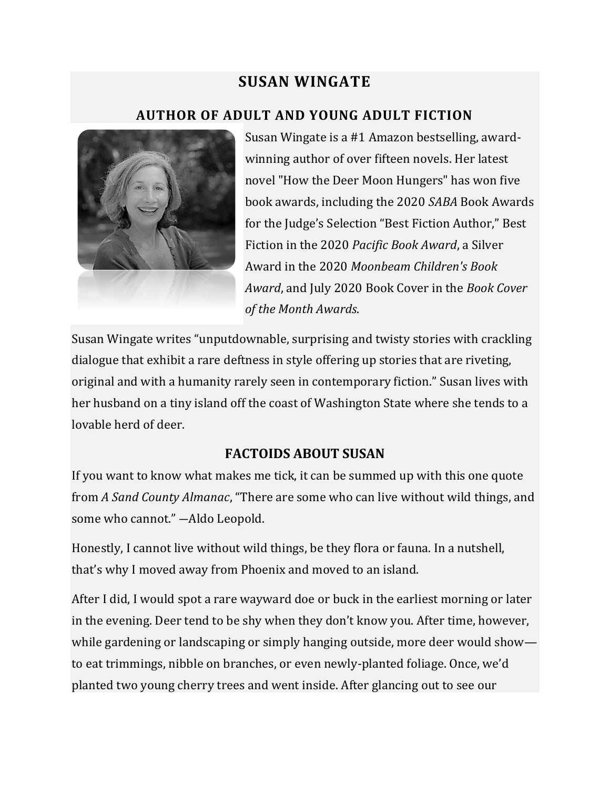# **SUSAN WINGATE**

## **AUTHOR OF ADULT AND YOUNG ADULT FICTION**



Susan Wingate is a #1 Amazon bestselling, awardwinning author of over fifteen novels. Her latest novel "How the Deer Moon Hungers" has won five book awards, including the 2020 *SABA* Book Awards for the Judge's Selection "Best Fiction Author," Best Fiction in the 2020 *Pacific Book Award*, a Silver Award in the 2020 *Moonbeam Children's Book Award*, and July 2020 Book Cover in the *Book Cover of the Month Awards*.

Susan Wingate writes "unputdownable, surprising and twisty stories with crackling dialogue that exhibit a rare deftness in style offering up stories that are riveting, original and with a humanity rarely seen in contemporary fiction." Susan lives with her husband on a tiny island off the coast of Washington State where she tends to a lovable herd of deer.

#### **FACTOIDS ABOUT SUSAN**

If you want to know what makes me tick, it can be summed up with this one quote from *A Sand County Almanac*, "There are some who can live without wild things, and some who cannot." ―Aldo Leopold.

Honestly, I cannot live without wild things, be they flora or fauna. In a nutshell, that's why I moved away from Phoenix and moved to an island.

After I did, I would spot a rare wayward doe or buck in the earliest morning or later in the evening. Deer tend to be shy when they don't know you. After time, however, while gardening or landscaping or simply hanging outside, more deer would show to eat trimmings, nibble on branches, or even newly-planted foliage. Once, we'd planted two young cherry trees and went inside. After glancing out to see our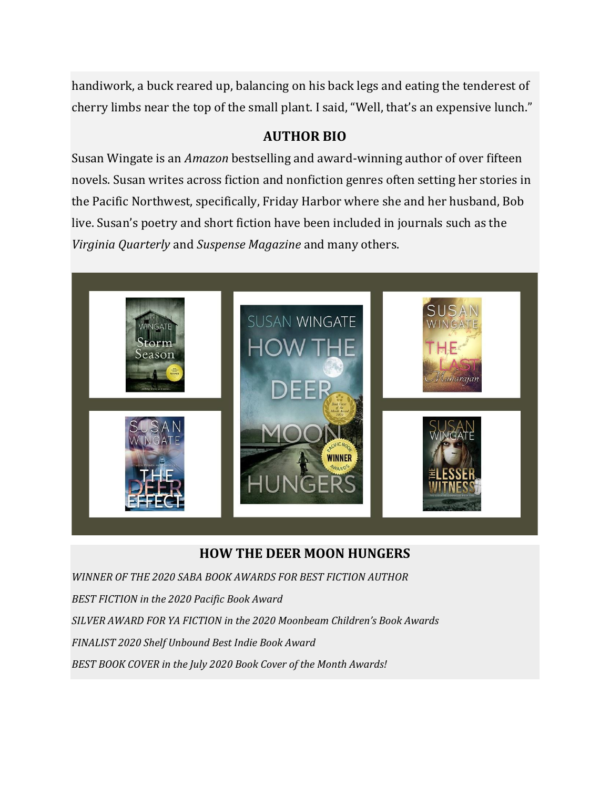handiwork, a buck reared up, balancing on his back legs and eating the tenderest of cherry limbs near the top of the small plant. I said, "Well, that's an expensive lunch."

#### **AUTHOR BIO**

Susan Wingate is an *Amazon* bestselling and award-winning author of over fifteen novels. Susan writes across fiction and nonfiction genres often setting her stories in the Pacific Northwest, specifically, Friday Harbor where she and her husband, Bob live. Susan's poetry and short fiction have been included in journals such as the *Virginia Quarterly* and *Suspense Magazine* and many others.



### **HOW THE DEER MOON HUNGERS**

*WINNER OF THE 2020 SABA BOOK AWARDS FOR BEST FICTION AUTHOR BEST FICTION in the 2020 Pacific Book Award SILVER AWARD FOR YA FICTION in the 2020 Moonbeam Children's Book Awards FINALIST 2020 Shelf Unbound Best Indie Book Award BEST BOOK COVER in the July 2020 Book Cover of the Month Awards!*